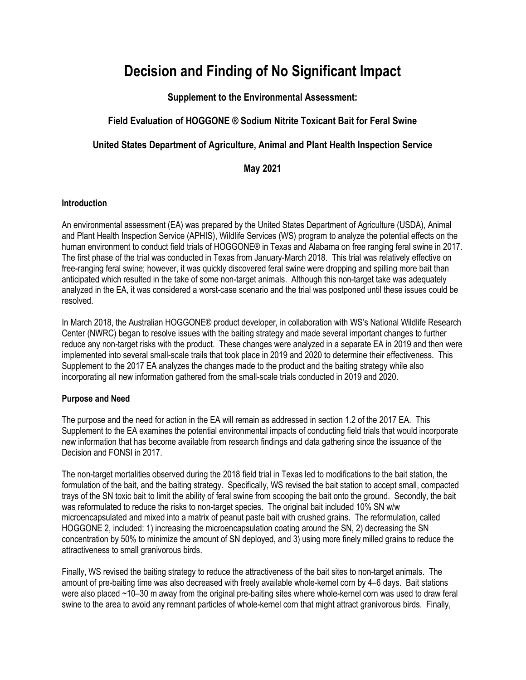# **Decision and Finding of No Significant Impact**

**Supplement to the Environmental Assessment:**

# **Field Evaluation of HOGGONE ® Sodium Nitrite Toxicant Bait for Feral Swine**

# **United States Department of Agriculture, Animal and Plant Health Inspection Service**

# **May 2021**

# **Introduction**

An environmental assessment (EA) was prepared by the United States Department of Agriculture (USDA), Animal and Plant Health Inspection Service (APHIS), Wildlife Services (WS) program to analyze the potential effects on the human environment to conduct field trials of HOGGONE® in Texas and Alabama on free ranging feral swine in 2017. The first phase of the trial was conducted in Texas from January-March 2018. This trial was relatively effective on free-ranging feral swine; however, it was quickly discovered feral swine were dropping and spilling more bait than anticipated which resulted in the take of some non-target animals. Although this non-target take was adequately analyzed in the EA, it was considered a worst-case scenario and the trial was postponed until these issues could be resolved.

In March 2018, the Australian HOGGONE® product developer, in collaboration with WS's National Wildlife Research Center (NWRC) began to resolve issues with the baiting strategy and made several important changes to further reduce any non-target risks with the product. These changes were analyzed in a separate EA in 2019 and then were implemented into several small-scale trails that took place in 2019 and 2020 to determine their effectiveness. This Supplement to the 2017 EA analyzes the changes made to the product and the baiting strategy while also incorporating all new information gathered from the small-scale trials conducted in 2019 and 2020.

# **Purpose and Need**

The purpose and the need for action in the EA will remain as addressed in section 1.2 of the 2017 EA. This Supplement to the EA examines the potential environmental impacts of conducting field trials that would incorporate new information that has become available from research findings and data gathering since the issuance of the Decision and FONSI in 2017.

The non-target mortalities observed during the 2018 field trial in Texas led to modifications to the bait station, the formulation of the bait, and the baiting strategy. Specifically, WS revised the bait station to accept small, compacted trays of the SN toxic bait to limit the ability of feral swine from scooping the bait onto the ground. Secondly, the bait was reformulated to reduce the risks to non-target species. The original bait included 10% SN w/w microencapsulated and mixed into a matrix of peanut paste bait with crushed grains. The reformulation, called HOGGONE 2, included: 1) increasing the microencapsulation coating around the SN, 2) decreasing the SN concentration by 50% to minimize the amount of SN deployed, and 3) using more finely milled grains to reduce the attractiveness to small granivorous birds.

Finally, WS revised the baiting strategy to reduce the attractiveness of the bait sites to non-target animals. The amount of pre-baiting time was also decreased with freely available whole-kernel corn by 4–6 days. Bait stations were also placed ~10–30 m away from the original pre-baiting sites where whole-kernel corn was used to draw feral swine to the area to avoid any remnant particles of whole-kernel corn that might attract granivorous birds. Finally,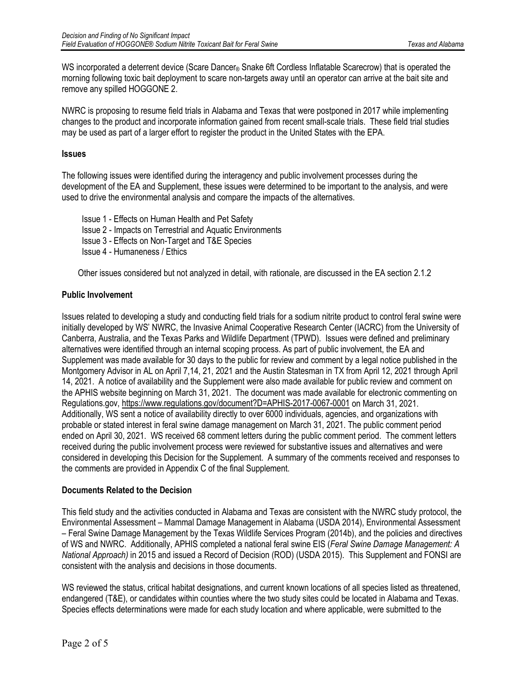WS incorporated a deterrent device (Scare Dancer® Snake 6ft Cordless Inflatable Scarecrow) that is operated the morning following toxic bait deployment to scare non-targets away until an operator can arrive at the bait site and remove any spilled HOGGONE 2.

NWRC is proposing to resume field trials in Alabama and Texas that were postponed in 2017 while implementing changes to the product and incorporate information gained from recent small-scale trials. These field trial studies may be used as part of a larger effort to register the product in the United States with the EPA.

#### **Issues**

The following issues were identified during the interagency and public involvement processes during the development of the EA and Supplement, these issues were determined to be important to the analysis, and were used to drive the environmental analysis and compare the impacts of the alternatives.

Issue 1 - Effects on Human Health and Pet Safety

Issue 2 - Impacts on Terrestrial and Aquatic Environments

Issue 3 - Effects on Non-Target and T&E Species

Issue 4 - Humaneness / Ethics

Other issues considered but not analyzed in detail, with rationale, are discussed in the EA section 2.1.2

# **Public Involvement**

Issues related to developing a study and conducting field trials for a sodium nitrite product to control feral swine were initially developed by WS' NWRC, the Invasive Animal Cooperative Research Center (IACRC) from the University of Canberra, Australia, and the Texas Parks and Wildlife Department (TPWD). Issues were defined and preliminary alternatives were identified through an internal scoping process. As part of public involvement, the EA and Supplement was made available for 30 days to the public for review and comment by a legal notice published in the Montgomery Advisor in AL on April 7,14, 21, 2021 and the Austin Statesman in TX from April 12, 2021 through April 14, 2021. A notice of availability and the Supplement were also made available for public review and comment on the APHIS website beginning on March 31, 2021. The document was made available for electronic commenting on Regulations.gov, https://www.regulations.gov/document?D=APHIS-2017-0067-0001 on March 31, 2021. Additionally, WS sent a notice of availability directly to over 6000 individuals, agencies, and organizations with probable or stated interest in feral swine damage management on March 31, 2021. The public comment period ended on April 30, 2021. WS received 68 comment letters during the public comment period. The comment letters received during the public involvement process were reviewed for substantive issues and alternatives and were considered in developing this Decision for the Supplement. A summary of the comments received and responses to the comments are provided in Appendix C of the final Supplement.

#### **Documents Related to the Decision**

This field study and the activities conducted in Alabama and Texas are consistent with the NWRC study protocol, the Environmental Assessment – Mammal Damage Management in Alabama (USDA 2014), Environmental Assessment – Feral Swine Damage Management by the Texas Wildlife Services Program (2014b), and the policies and directives of WS and NWRC. Additionally, APHIS completed a national feral swine EIS (*Feral Swine Damage Management: A National Approach)* in 2015 and issued a Record of Decision (ROD) (USDA 2015). This Supplement and FONSI are consistent with the analysis and decisions in those documents.

WS reviewed the status, critical habitat designations, and current known locations of all species listed as threatened, endangered (T&E), or candidates within counties where the two study sites could be located in Alabama and Texas. Species effects determinations were made for each study location and where applicable, were submitted to the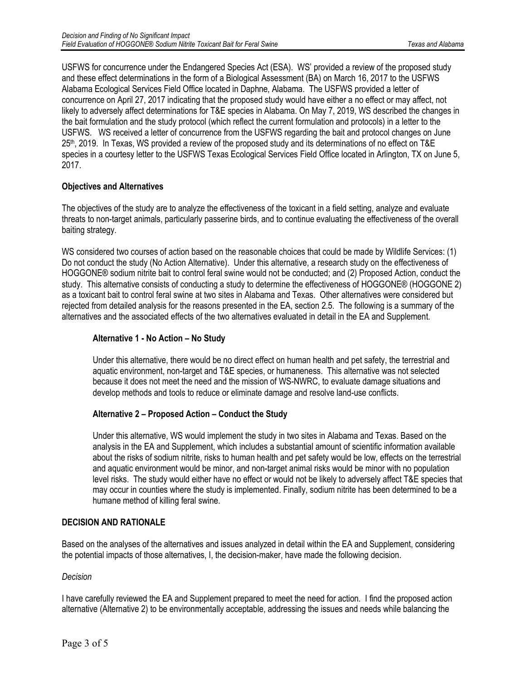USFWS for concurrence under the Endangered Species Act (ESA). WS' provided a review of the proposed study and these effect determinations in the form of a Biological Assessment (BA) on March 16, 2017 to the USFWS Alabama Ecological Services Field Office located in Daphne, Alabama. The USFWS provided a letter of concurrence on April 27, 2017 indicating that the proposed study would have either a no effect or may affect, not likely to adversely affect determinations for T&E species in Alabama. On May 7, 2019, WS described the changes in the bait formulation and the study protocol (which reflect the current formulation and protocols) in a letter to the USFWS. WS received a letter of concurrence from the USFWS regarding the bait and protocol changes on June 25th, 2019. In Texas, WS provided a review of the proposed study and its determinations of no effect on T&E species in a courtesy letter to the USFWS Texas Ecological Services Field Office located in Arlington, TX on June 5, 2017.

# **Objectives and Alternatives**

The objectives of the study are to analyze the effectiveness of the toxicant in a field setting, analyze and evaluate threats to non-target animals, particularly passerine birds, and to continue evaluating the effectiveness of the overall baiting strategy.

WS considered two courses of action based on the reasonable choices that could be made by Wildlife Services: (1) Do not conduct the study (No Action Alternative). Under this alternative, a research study on the effectiveness of HOGGONE® sodium nitrite bait to control feral swine would not be conducted; and (2) Proposed Action, conduct the study. This alternative consists of conducting a study to determine the effectiveness of HOGGONE® (HOGGONE 2) as a toxicant bait to control feral swine at two sites in Alabama and Texas. Other alternatives were considered but rejected from detailed analysis for the reasons presented in the EA, section 2.5. The following is a summary of the alternatives and the associated effects of the two alternatives evaluated in detail in the EA and Supplement.

#### **Alternative 1 - No Action – No Study**

Under this alternative, there would be no direct effect on human health and pet safety, the terrestrial and aquatic environment, non-target and T&E species, or humaneness. This alternative was not selected because it does not meet the need and the mission of WS-NWRC, to evaluate damage situations and develop methods and tools to reduce or eliminate damage and resolve land-use conflicts.

# **Alternative 2 – Proposed Action – Conduct the Study**

Under this alternative, WS would implement the study in two sites in Alabama and Texas. Based on the analysis in the EA and Supplement, which includes a substantial amount of scientific information available about the risks of sodium nitrite, risks to human health and pet safety would be low, effects on the terrestrial and aquatic environment would be minor, and non-target animal risks would be minor with no population level risks. The study would either have no effect or would not be likely to adversely affect T&E species that may occur in counties where the study is implemented. Finally, sodium nitrite has been determined to be a humane method of killing feral swine.

# **DECISION AND RATIONALE**

Based on the analyses of the alternatives and issues analyzed in detail within the EA and Supplement, considering the potential impacts of those alternatives, I, the decision-maker, have made the following decision.

#### *Decision*

I have carefully reviewed the EA and Supplement prepared to meet the need for action. I find the proposed action alternative (Alternative 2) to be environmentally acceptable, addressing the issues and needs while balancing the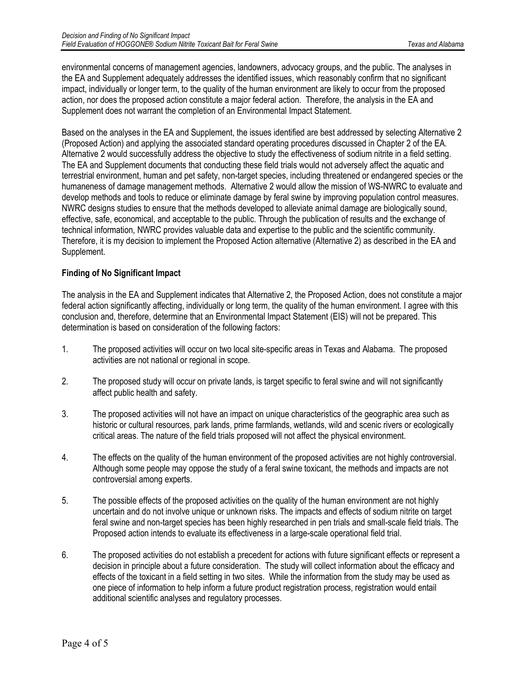environmental concerns of management agencies, landowners, advocacy groups, and the public. The analyses in the EA and Supplement adequately addresses the identified issues, which reasonably confirm that no significant impact, individually or longer term, to the quality of the human environment are likely to occur from the proposed action, nor does the proposed action constitute a major federal action. Therefore, the analysis in the EA and Supplement does not warrant the completion of an Environmental Impact Statement.

Based on the analyses in the EA and Supplement, the issues identified are best addressed by selecting Alternative 2 (Proposed Action) and applying the associated standard operating procedures discussed in Chapter 2 of the EA. Alternative 2 would successfully address the objective to study the effectiveness of sodium nitrite in a field setting. The EA and Supplement documents that conducting these field trials would not adversely affect the aquatic and terrestrial environment, human and pet safety, non-target species, including threatened or endangered species or the humaneness of damage management methods. Alternative 2 would allow the mission of WS-NWRC to evaluate and develop methods and tools to reduce or eliminate damage by feral swine by improving population control measures. NWRC designs studies to ensure that the methods developed to alleviate animal damage are biologically sound, effective, safe, economical, and acceptable to the public. Through the publication of results and the exchange of technical information, NWRC provides valuable data and expertise to the public and the scientific community. Therefore, it is my decision to implement the Proposed Action alternative (Alternative 2) as described in the EA and Supplement.

# **Finding of No Significant Impact**

The analysis in the EA and Supplement indicates that Alternative 2, the Proposed Action, does not constitute a major federal action significantly affecting, individually or long term, the quality of the human environment. I agree with this conclusion and, therefore, determine that an Environmental Impact Statement (EIS) will not be prepared. This determination is based on consideration of the following factors:

- 1. The proposed activities will occur on two local site-specific areas in Texas and Alabama. The proposed activities are not national or regional in scope.
- 2. The proposed study will occur on private lands, is target specific to feral swine and will not significantly affect public health and safety.
- 3. The proposed activities will not have an impact on unique characteristics of the geographic area such as historic or cultural resources, park lands, prime farmlands, wetlands, wild and scenic rivers or ecologically critical areas. The nature of the field trials proposed will not affect the physical environment.
- 4. The effects on the quality of the human environment of the proposed activities are not highly controversial. Although some people may oppose the study of a feral swine toxicant, the methods and impacts are not controversial among experts.
- 5. The possible effects of the proposed activities on the quality of the human environment are not highly uncertain and do not involve unique or unknown risks. The impacts and effects of sodium nitrite on target feral swine and non-target species has been highly researched in pen trials and small-scale field trials. The Proposed action intends to evaluate its effectiveness in a large-scale operational field trial.
- 6. The proposed activities do not establish a precedent for actions with future significant effects or represent a decision in principle about a future consideration. The study will collect information about the efficacy and effects of the toxicant in a field setting in two sites. While the information from the study may be used as one piece of information to help inform a future product registration process, registration would entail additional scientific analyses and regulatory processes.